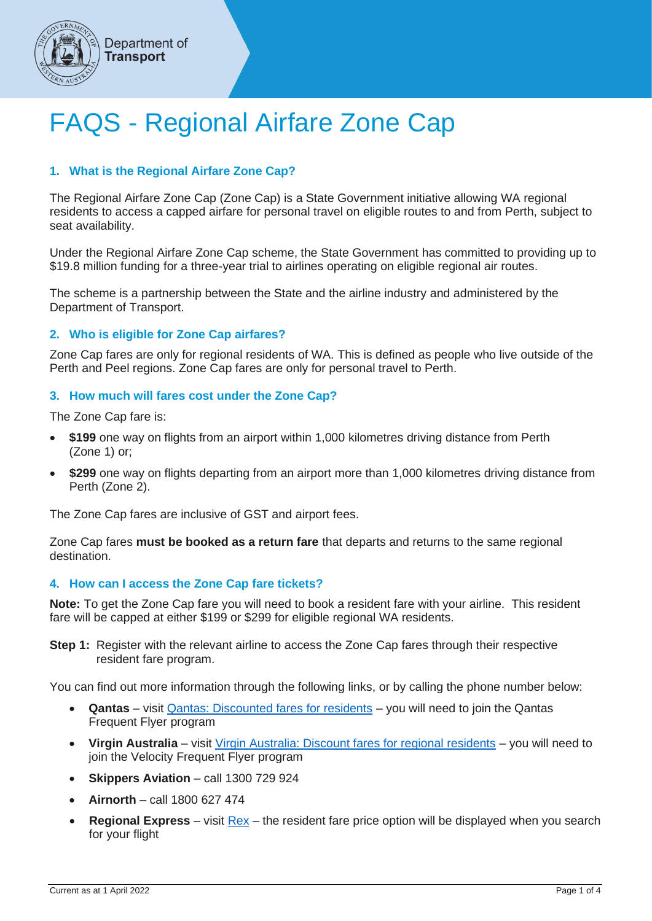

# **Transport**

Department of

# FAQS - Regional Airfare Zone Cap

# **1. What is the Regional Airfare Zone Cap?**

The Regional Airfare Zone Cap (Zone Cap) is a State Government initiative allowing WA regional residents to access a capped airfare for personal travel on eligible routes to and from Perth, subject to seat availability.

Under the Regional Airfare Zone Cap scheme, the State Government has committed to providing up to \$19.8 million funding for a three-year trial to airlines operating on eligible regional air routes.

The scheme is a partnership between the State and the airline industry and administered by the Department of Transport.

# **2. Who is eligible for Zone Cap airfares?**

Zone Cap fares are only for regional residents of WA. This is defined as people who live outside of the Perth and Peel regions. Zone Cap fares are only for personal travel to Perth.

# **3. How much will fares cost under the Zone Cap?**

The Zone Cap fare is:

- **\$199** one way on flights from an airport within 1,000 kilometres driving distance from Perth (Zone 1) or;
- **\$299** one way on flights departing from an airport more than 1,000 kilometres driving distance from Perth (Zone 2).

The Zone Cap fares are inclusive of GST and airport fees.

Zone Cap fares **must be booked as a return fare** that departs and returns to the same regional destination.

# **4. How can I access the Zone Cap fare tickets?**

**Note:** To get the Zone Cap fare you will need to book a resident fare with your airline. This resident fare will be capped at either \$199 or \$299 for eligible regional WA residents.

**Step 1:** Register with the relevant airline to access the Zone Cap fares through their respective resident fare program.

You can find out more information through the following links, or by calling the phone number below:

- **Qantas** visit [Qantas: Discounted fares for residents](http://www.qantas.com/au/en/frequent-flyer/member-specials/discounted-fares-for-residents.html) you will need to join the Qantas Frequent Flyer program
- **Virgin Australia** visit [Virgin Australia: Discount fares for regional residents](http://www.virginaustralia.com/au/en/info/regional-fares-terms-conditions) you will need to join the Velocity Frequent Flyer program
- **Skippers Aviation** call 1300 729 924
- **Airnorth** call 1800 627 474
- **Regional Express** visit [Rex](https://www.rex.com.au/?des=per) the resident fare price option will be displayed when you search for your flight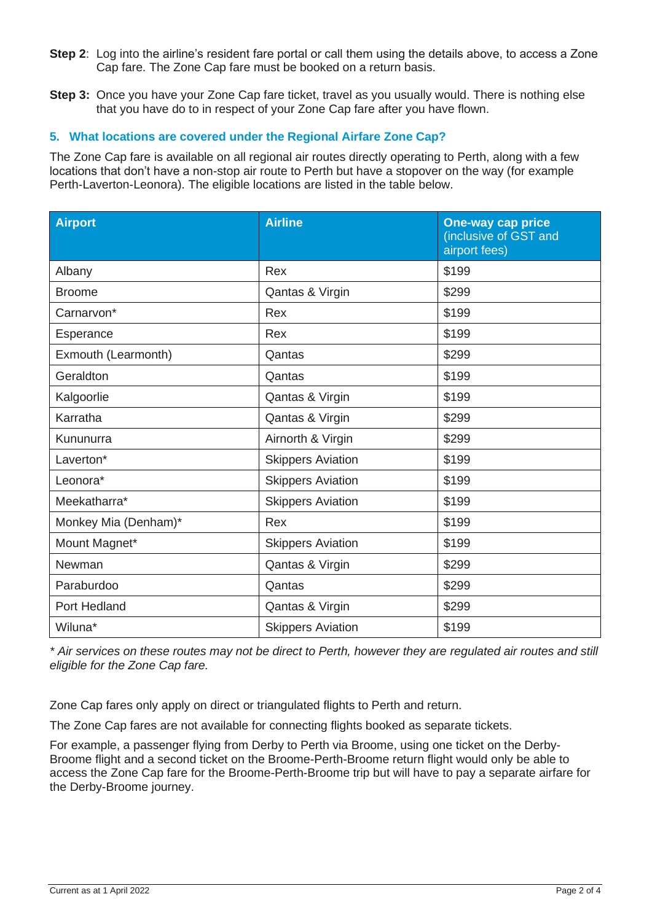- **Step 2**: Log into the airline's resident fare portal or call them using the details above, to access a Zone Cap fare. The Zone Cap fare must be booked on a return basis.
- **Step 3:** Once you have your Zone Cap fare ticket, travel as you usually would. There is nothing else that you have do to in respect of your Zone Cap fare after you have flown.

# **5. What locations are covered under the Regional Airfare Zone Cap?**

The Zone Cap fare is available on all regional air routes directly operating to Perth, along with a few locations that don't have a non-stop air route to Perth but have a stopover on the way (for example Perth-Laverton-Leonora). The eligible locations are listed in the table below.

| <b>Airport</b>       | <b>Airline</b>           | <b>One-way cap price</b><br>(inclusive of GST and<br>airport fees) |
|----------------------|--------------------------|--------------------------------------------------------------------|
| Albany               | Rex                      | \$199                                                              |
| <b>Broome</b>        | Qantas & Virgin          | \$299                                                              |
| Carnarvon*           | Rex                      | \$199                                                              |
| Esperance            | Rex                      | \$199                                                              |
| Exmouth (Learmonth)  | Qantas                   | \$299                                                              |
| Geraldton            | Qantas                   | \$199                                                              |
| Kalgoorlie           | Qantas & Virgin          | \$199                                                              |
| Karratha             | Qantas & Virgin          | \$299                                                              |
| Kununurra            | Airnorth & Virgin        | \$299                                                              |
| Laverton*            | <b>Skippers Aviation</b> | \$199                                                              |
| Leonora*             | <b>Skippers Aviation</b> | \$199                                                              |
| Meekatharra*         | <b>Skippers Aviation</b> | \$199                                                              |
| Monkey Mia (Denham)* | Rex                      | \$199                                                              |
| Mount Magnet*        | <b>Skippers Aviation</b> | \$199                                                              |
| Newman               | Qantas & Virgin          | \$299                                                              |
| Paraburdoo           | Qantas                   | \$299                                                              |
| Port Hedland         | Qantas & Virgin          | \$299                                                              |
| Wiluna*              | <b>Skippers Aviation</b> | \$199                                                              |

*\* Air services on these routes may not be direct to Perth, however they are regulated air routes and still eligible for the Zone Cap fare.*

Zone Cap fares only apply on direct or triangulated flights to Perth and return.

The Zone Cap fares are not available for connecting flights booked as separate tickets.

For example, a passenger flying from Derby to Perth via Broome, using one ticket on the Derby-Broome flight and a second ticket on the Broome-Perth-Broome return flight would only be able to access the Zone Cap fare for the Broome-Perth-Broome trip but will have to pay a separate airfare for the Derby-Broome journey.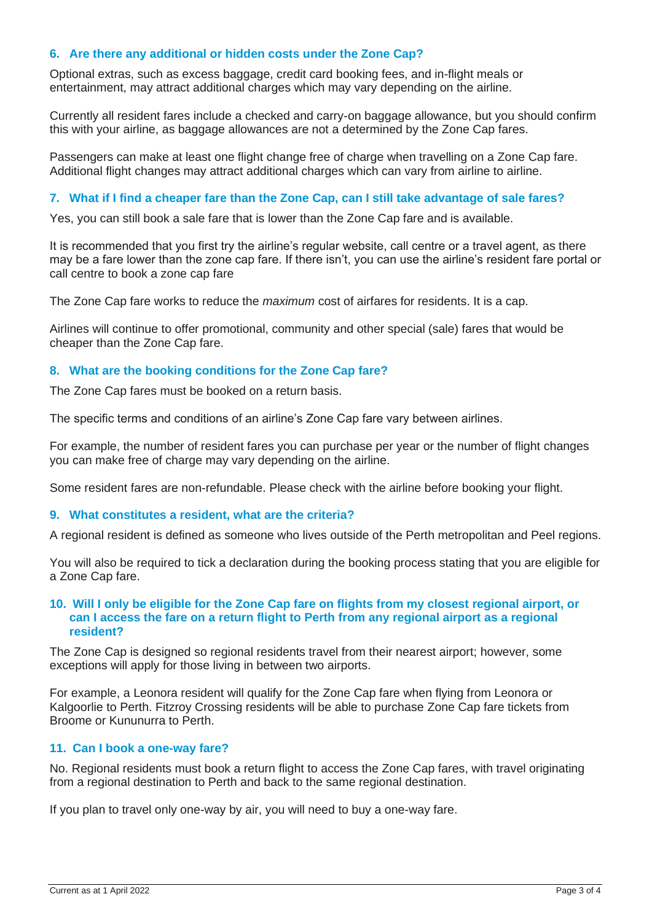# **6. Are there any additional or hidden costs under the Zone Cap?**

Optional extras, such as excess baggage, credit card booking fees, and in-flight meals or entertainment, may attract additional charges which may vary depending on the airline.

Currently all resident fares include a checked and carry-on baggage allowance, but you should confirm this with your airline, as baggage allowances are not a determined by the Zone Cap fares.

Passengers can make at least one flight change free of charge when travelling on a Zone Cap fare. Additional flight changes may attract additional charges which can vary from airline to airline.

#### **7. What if I find a cheaper fare than the Zone Cap, can I still take advantage of sale fares?**

Yes, you can still book a sale fare that is lower than the Zone Cap fare and is available.

It is recommended that you first try the airline's regular website, call centre or a travel agent, as there may be a fare lower than the zone cap fare. If there isn't, you can use the airline's resident fare portal or call centre to book a zone cap fare

The Zone Cap fare works to reduce the *maximum* cost of airfares for residents. It is a cap.

Airlines will continue to offer promotional, community and other special (sale) fares that would be cheaper than the Zone Cap fare.

#### **8. What are the booking conditions for the Zone Cap fare?**

The Zone Cap fares must be booked on a return basis.

The specific terms and conditions of an airline's Zone Cap fare vary between airlines.

For example, the number of resident fares you can purchase per year or the number of flight changes you can make free of charge may vary depending on the airline.

Some resident fares are non-refundable. Please check with the airline before booking your flight.

#### **9. What constitutes a resident, what are the criteria?**

A regional resident is defined as someone who lives outside of the Perth metropolitan and Peel regions.

You will also be required to tick a declaration during the booking process stating that you are eligible for a Zone Cap fare.

#### **10. Will I only be eligible for the Zone Cap fare on flights from my closest regional airport, or can I access the fare on a return flight to Perth from any regional airport as a regional resident?**

The Zone Cap is designed so regional residents travel from their nearest airport; however, some exceptions will apply for those living in between two airports.

For example, a Leonora resident will qualify for the Zone Cap fare when flying from Leonora or Kalgoorlie to Perth. Fitzroy Crossing residents will be able to purchase Zone Cap fare tickets from Broome or Kununurra to Perth.

#### **11. Can I book a one-way fare?**

No. Regional residents must book a return flight to access the Zone Cap fares, with travel originating from a regional destination to Perth and back to the same regional destination.

If you plan to travel only one-way by air, you will need to buy a one-way fare.